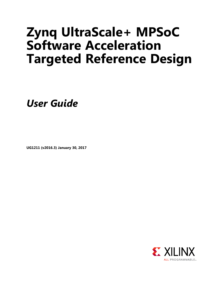# **Zynq UltraScale+ MPSoC Software Acceleration Targeted Reference Design**

*User Guide*

**UG1211 (v2016.3) January 30, 2017**

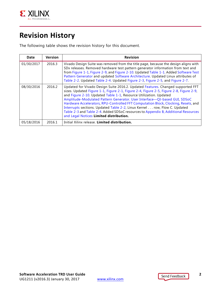

# <span id="page-1-0"></span>**Revision History**

The following table shows the revision history for this document.

| Date       | <b>Version</b> | <b>Revision</b>                                                                                                                                                                                                                                                                                                                                                                                                                                                                                                                                                                                                                 |
|------------|----------------|---------------------------------------------------------------------------------------------------------------------------------------------------------------------------------------------------------------------------------------------------------------------------------------------------------------------------------------------------------------------------------------------------------------------------------------------------------------------------------------------------------------------------------------------------------------------------------------------------------------------------------|
| 01/30/2017 | 2016.3         | Vivado Design Suite was removed from the title page, because the design aligns with<br>SDx releases. Removed hardware test pattern generator information from text and<br>from Figure 1-1, Figure 2-9, and Figure 2-10. Updated Table 1-1. Added Software Test<br>Pattern Generator and updated Software Architecture. Updated Linux attributes of<br>Table 2-2. Updated Table 2-4. Updated Figure 2-3, Figure 2-5, and Figure 2-7.                                                                                                                                                                                             |
| 08/30/2016 | 2016.2         | Updated for Vivado Design Suite 2016.2. Updated Features. Changed supported FFT<br>sizes. Updated Figure 1-1, Figure 2-1, Figure 2-4, Figure 2-5, Figure 2-8, Figure 2-9,<br>and Figure 2-10. Updated Table 1-1, Resource Utilization. Updated<br>Amplitude-Modulated Pattern Generator. User Interface-Qt-based GUI, SDSoC<br>Hardware Accelerators, RPU-Controlled FFT Computation Block, Clocking, Resets, and<br>Interrupts sections. Updated Table 2-2, Linux Kernel row, Flow C. Updated<br>Table 2-3 and Table 2-4. Added SDSoC resources to Appendix B, Additional Resources<br>and Legal Notices Limited distribution. |
| 05/18/2016 | 2016.1         | Initial Xilinx release. Limited distribution.                                                                                                                                                                                                                                                                                                                                                                                                                                                                                                                                                                                   |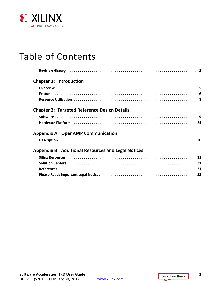

# Table of Contents

| <b>Chapter 1: Introduction</b>                            |  |
|-----------------------------------------------------------|--|
|                                                           |  |
|                                                           |  |
|                                                           |  |
| <b>Chapter 2: Targeted Reference Design Details</b>       |  |
|                                                           |  |
|                                                           |  |
| <b>Appendix A: OpenAMP Communication</b>                  |  |
|                                                           |  |
| <b>Appendix B: Additional Resources and Legal Notices</b> |  |
|                                                           |  |
|                                                           |  |
|                                                           |  |
|                                                           |  |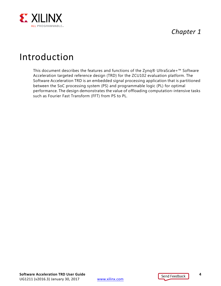

# *Chapter 1*

# <span id="page-3-0"></span>Introduction

This document describes the features and functions of the Zynq® UltraScale+™ Software Acceleration targeted reference design (TRD) for the ZCU102 evaluation platform. The Software Acceleration TRD is an embedded signal processing application that is partitioned between the SoC processing system (PS) and programmable logic (PL) for optimal performance. The design demonstrates the value of offloading computation-intensive tasks such as Fourier Fast Transform (FFT) from PS to PL.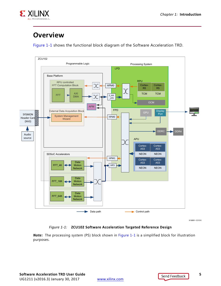

# <span id="page-4-1"></span>**Overview**

[Figure 1-1](#page-4-2) shows the functional block diagram of the Software Acceleration TRD.

<span id="page-4-2"></span><span id="page-4-0"></span>

X16891-121516

#### *Figure 1-1:* **ZCU102 Software Acceleration Targeted Reference Design**

*Note:* The processing system (PS) block shown in [Figure 1-1](#page-4-2) is a simplified block for illustration purposes.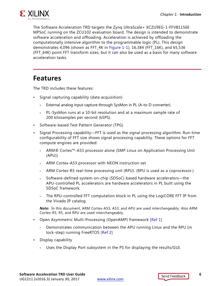

The Software Acceleration TRD targets the Zynq UltraScale+ XCZU9EG-1-FFVB1156E MPSoC running on the ZCU102 evaluation board. The design is intended to demonstrate software acceleration and offloading. Acceleration is achieved by offloading the computationally intensive algorithm to the programmable logic (PL). This design demonstrates 4,096 (shown as FFT\_4K in [Figure 1-1](#page-4-2)), 16,384 (FFT\_16K), and 65,536 (FFT\_64K) point FFT transform sizes, but it can also be used as a basis for many software acceleration tasks.

## <span id="page-5-1"></span><span id="page-5-0"></span>**Features**

The TRD includes these features:

- Signal capturing capability (data acquisition)
	- ° External analog input capture through SysMon in PL (A-to-D converter).
	- ° PL-SysMon runs at a 10-bit resolution and at a maximum sample rate of 200 kilosamples per second (kSPS).
- Software-based Test Pattern Generator (TPG)
- Signal Processing capability—FFT is used as the signal processing algorithm. Run-time configurability of FFT size shows signal processing capability. These options for FFT compute engines are provided:
	- ° ARM® Cortex™-A53 processor alone (SMP Linux on Application Processing Unit (APU))
	- ° ARM Cortex-A53 processor with NEON instruction set
	- ARM Cortex-R5 real-time processing unit (RPU). (RPU is used as a coprocessor.)
	- Software-defined system-on-chip (SDSoC) based hardware accelerators—the APU-controlled PL accelerators are hardware accelerators in PL built using the SDSoC framework.
	- The RPU-controlled FFT computation block in PL using the LogiCORE FFT IP from the Vivado IP catalog

*Note:* In this document, ARM Cortex-A53, A53, and APU are used interchangeably. Also ARM Cortex-R5, R5, and RPU are used interchangeably.

- Open Asymmetric Multi-Processing (OpenAMP) framework [\[Ref 1\]](#page-30-6)
	- ° Demonstrates communication between the APU running Linux and the RPU (in lock-step) running FreeRTOS [\[Ref 2\]](#page-30-5)
- Display capability
	- ° Uses the Display Port subsystem in the PS for displaying the results/GUI.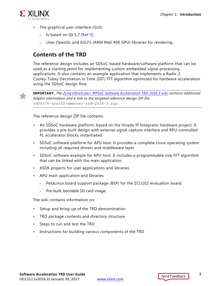

- The graphical user interface (GUI):
	- Is based on Qt 5.7 [\[Ref 3\]](#page-30-7).
	- Uses OpenGL and EGLFS (ARM Mali 400 GPU) libraries for rendering.

#### **Contents of the TRD**

The reference design includes an SDSoC-based hardware/software platform that can be used as a starting point for implementing custom embedded signal processing applications. It also contains an example application that implements a Radix-2 Cooley-Tukey Decimation in Time (DIT) FFT algorithm optimized for hardware acceleration using the SDSoC design flow.



**IMPORTANT:** *The [Zynq UltraScale+ MPSoC Software Acceleration TRD 2016.3 wiki](http://www.wiki.xilinx.com/Zynq+Ultrascale+MPSoC+Software+Acceleration+TRD+2016.3) contains additional helpful information and a link to the targeted reference design ZIP file rdf0376-zcu102-swaccel-trd-2016-3.zip.*

The reference design ZIP file contains:

- An SDSoC hardware platform, based on the Vivado IP Integrator hardware project. It provides a pre-built design with external signal capture interface and RPU-controlled PL accelerator blocks instantiated.
- SDSoC software platform for APU host. It provides a complete Linux operating system including all required drivers and middleware layer.
- SDSoC software example for APU host. It includes a programmable size FFT algorithm that can be linked with the main application.
- XSDK projects for user applications and libraries
- APU main application and libraries
	- ° PetaLinux board support package (BSP) for the ZCU102 evaluation board.
	- Pre-built, bootable SD card image.

The wiki contains information on:

- Setup and bring-up of the TRD demonstration
- TRD package contents and directory structure
- Steps to run and test the TRD
- Instructions for building various components of the TRD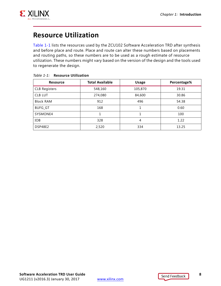

# <span id="page-7-1"></span>**Resource Utilization**

[Table 1-1](#page-7-2) lists the resources used by the ZCU102 Software Acceleration TRD after synthesis and before place and route. Place and route can alter these numbers based on placements and routing paths, so these numbers are to be used as a rough estimate of resource utilization. These numbers might vary based on the version of the design and the tools used to regenerate the design.

| <b>Resource</b>      | <b>Total Available</b> | <b>Usage</b> | Percentage% |
|----------------------|------------------------|--------------|-------------|
| <b>CLB Registers</b> | 548,160                | 105,870      | 19.31       |
| <b>CLB LUT</b>       | 274,080                | 84,600       | 30.86       |
| <b>Block RAM</b>     | 912                    | 496          | 54.38       |
| <b>BUFG_GT</b>       | 168                    |              | 0.60        |
| SYSMONE4             | 1                      |              | 100         |
| <b>IOB</b>           | 328                    | 4            | 1.22        |
| DSP48E2              | 2,520                  | 334          | 13.25       |

#### <span id="page-7-2"></span><span id="page-7-0"></span>*Table 1-1:* **Resource Utilization**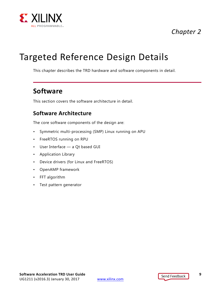

# *Chapter 2*

# <span id="page-8-1"></span>Targeted Reference Design Details

This chapter describes the TRD hardware and software components in detail.

## <span id="page-8-2"></span>**Software**

This section covers the software architecture in detail.

### <span id="page-8-3"></span><span id="page-8-0"></span>**Software Architecture**

The core software components of the design are:

- Symmetric multi-processing (SMP) Linux running on APU
- FreeRTOS running on RPU
- User Interface a Qt based GUI
- Application Library
- Device drivers (for Linux and FreeRTOS)
- OpenAMP framework
- FFT algorithm
- Test pattern generator

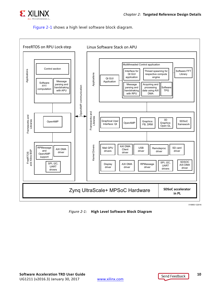

#### <span id="page-9-0"></span>[Figure 2-1](#page-9-1) shows a high level software block diagram.

<span id="page-9-1"></span>

*Figure 2-1:* **High Level Software Block Diagram**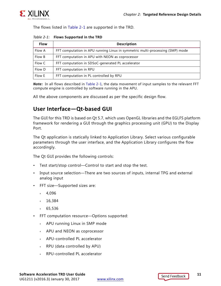

The flows listed in [Table 2-1](#page-10-1) are supported in the TRD.

<span id="page-10-1"></span>*Table 2-1:* **Flows Supported in the TRD**

| <b>Flow</b> | <b>Description</b>                                                            |
|-------------|-------------------------------------------------------------------------------|
| Flow A      | FFT computation in APU running Linux in symmetric multi-processing (SMP) mode |
| Flow B      | FFT computation in APU with NEON as coprocessor                               |
| Flow C      | FFT computation in SDSoC-generated PL accelerator                             |
| Flow D      | FFT computation in RPU                                                        |
| Flow E      | FFT computation in PL controlled by RPU                                       |

**Note:** In all flows described in [Table 2-1](#page-10-1), the data movement of input samples to the relevant FFT compute engine is controlled by software running in the APU.

All the above components are discussed as per the specific design flow.

## <span id="page-10-0"></span>**User Interface—Qt-based GUI**

The GUI for this TRD is based on Qt 5.7, which uses OpenGL libraries and the EGLFS platform framework for rendering a GUI through the graphics processing unit (GPU) to the Display Port.

The Qt application is statically linked to Application Library. Select various configurable parameters through the user interface, and the Application Library configures the flow accordingly.

The Qt GUI provides the following controls:

- Test start/stop control—Control to start and stop the test.
- Input source selection—There are two sources of inputs, internal TPG and external analog input
- FFT size—Supported sizes are:
	- $-4.096$
	- $.16,384$
	- $65,536$
- FFT computation resource—Options supported:
	- ° APU running Linux in SMP mode
	- ° APU and NEON as coprocessor
	- ° APU-controlled PL accelerator
	- ° RPU (data controlled by APU)
	- ° RPU-controlled PL accelerator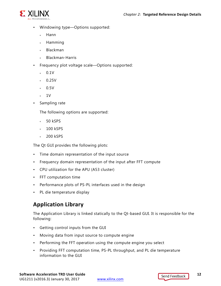

- Windowing type—Options supported:
	- ° Hann
	- ° Hamming
	- ° Blackman
	- ° Blackman-Harris
- Frequency plot voltage scale—Options supported:
	- $\cdot$  0.1V
	- $0.25V$
	- $\cdot$  0.5V
	- $\sim 1V$
- Sampling rate

The following options are supported:

- ° 50 kSPS
- 100 kSPS
- 200 kSPS

The Qt GUI provides the following plots:

- Time domain representation of the input source
- Frequency domain representation of the input after FFT compute
- CPU utilization for the APU (A53 cluster)
- FFT computation time
- Performance plots of PS-PL interfaces used in the design
- PL die temperature display

## **Application Library**

The Application Library is linked statically to the Qt-based GUI. It is responsible for the following:

- Getting control inputs from the GUI
- Moving data from input source to compute engine
- Performing the FFT operation using the compute engine you select
- Providing FFT computation time, PS-PL throughput, and PL die temperature information to the GUI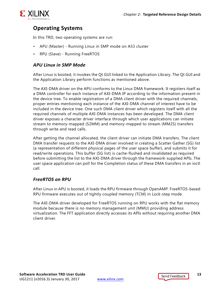

## **Operating Systems**

In this TRD, two operating systems are run:

- APU (Master) Running Linux in SMP mode on A53 cluster
- RPU (Slave) Running FreeRTOS

#### *APU Linux in SMP Mode*

After Linux is booted, it invokes the Qt GUI linked to the Application Library. The Qt GUI and the Application Library perform functions as mentioned above.

The AXI-DMA driver on the APU conforms to the Linux DMA framework. It registers itself as a DMA controller for each instance of AXI-DMA IP according to the information present in the device tree. To enable registration of a DMA client driver with the required channels, proper entries mentioning each instance of the AXI-DMA channel of interest have to be included in the device tree. One such DMA client driver which registers itself with all the required channels of multiple AXI-DMA instances has been developed. The DMA client driver exposes a character driver interface through which user applications can initiate stream to memory-mapped (S2MM) and memory-mapped to stream (MM2S) transfers through write and read calls.

After getting the channel allocated, the client driver can initiate DMA transfers. The client DMA transfer requests to the AXI-DMA driver involved in creating a Scatter Gather (SG) list (a representation of different physical pages of the user space buffer), and submits it for read/write operations. This buffer (SG list) is cache-flushed and invalidated as required before submitting the list to the AXI-DMA driver through the framework-supplied APIs. The user space application can poll for the Completion status of these DMA transfers in an ioctl call.

#### *FreeRTOS on RPU*

After Linux in APU is booted, it loads the RPU firmware through OpenAMP. FreeRTOS-based RPU firmware executes out of tightly coupled memory (TCM) in Lock-step mode.

The AXI-DMA driver developed for FreeRTOS running on RPU works with the flat memory module because there is no memory management unit (MMU) providing address virtualization. The FFT application directly accesses its APIs without requiring another DMA client driver.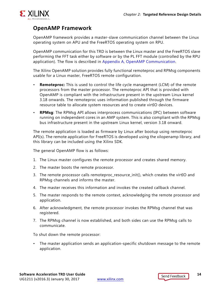

## <span id="page-13-0"></span>**OpenAMP Framework**

OpenAMP framework provides a master-slave communication channel between the Linux operating system on APU and the FreeRTOS operating system on RPU.

OpenAMP communication for this TRD is between the Linux master and the FreeRTOS slave performing the FFT task either by software or by the PL FFT module (controlled by the RPU application). The flow is described in [Appendix A, OpenAMP Communication.](#page-29-2)

The Xilinx OpenAMP solution provides fully functional remoteproc and RPMsg components usable for a Linux master, FreeRTOS remote configuration.

- **Remoteproc:** This is used to control the life cycle management (LCM) of the remote processors from the master processor. The remoteproc API that is provided with OpenAMP is compliant with the infrastructure present in the upstream Linux kernel 3.18 onwards. The remoteproc uses information published through the firmware resource table to allocate system resources and to create virtIO devices.
- **RPMsg**: The RPMsg API allows interprocess communications (IPC) between software running on independent cores in an AMP system. This is also compliant with the RPMsg bus infrastructure present in the upstream Linux kernel, version 3.18 onward.

The remote application is loaded as firmware by Linux after bootup using remoteproc API(s). The remote application for FreeRTOS is developed using the xilopenamp library, and this library can be included using the Xilinx SDK.

The general OpenAMP flow is as follows:

- 1. The Linux master configures the remote processor and creates shared memory.
- 2. The master boots the remote processor.
- 3. The remote processor calls remoteproc resource init(), which creates the virtIO and RPMsg channels and informs the master.
- 4. The master receives this information and invokes the created callback channel.
- 5. The master responds to the remote context, acknowledging the remote processor and application.
- 6. After acknowledgment, the remote processor invokes the RPMsg channel that was registered.
- 7. The RPMsg channel is now established, and both sides can use the RPMsg calls to communicate.

To shut down the remote processor:

• The master application sends an application-specific shutdown message to the remote application.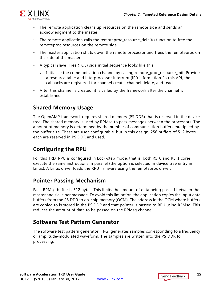

- The remote application cleans up resources on the remote side and sends an acknowledgment to the master.
- The remote application calls the remoteproc\_resource\_deinit() function to free the remoteproc resources on the remote side.
- The master application shuts down the remote processor and frees the remoteproc on the side of the master.
- A typical slave (FreeRTOS) side initial sequence looks like this:
	- Initialize the communication channel by calling remote\_proc\_resource\_init. Provide a resource table and interprocessor interrupt (IPI) information. In this API, the callbacks are registered for channel create, channel delete, and read.
- After this channel is created, it is called by the framework after the channel is established.

### **Shared Memory Usage**

The OpenAMP framework requires shared memory (PS DDR) that is reserved in the device tree. The shared memory is used by RPMsg to pass messages between the processors. The amount of memory is determined by the number of communication buffers multiplied by the buffer size. These are user-configurable, but in this design, 256 buffers of 512 bytes each are reserved in PS DDR and used.

## **Configuring the RPU**

For this TRD, RPU is configured in Lock-step mode, that is, both R5\_0 and R5\_1 cores execute the same instructions in parallel (the option is selected in device tree entry in Linux). A Linux driver loads the RPU firmware using the remoteproc driver.

### **Pointer Passing Mechanism**

Each RPMsg buffer is 512 bytes. This limits the amount of data being passed between the master and slave per message. To avoid this limitation, the application copies the input data buffers from the PS DDR to on-chip memory (OCM). The address in the OCM where buffers are copied to is stored in the PS DDR and that pointer is passed to RPU using RPMsg. This reduces the amount of data to be passed on the RPMsg channel.

### <span id="page-14-0"></span>**Software Test Pattern Generator**

The software test pattern generator (TPG) generates samples corresponding to a frequency or amplitude-modulated waveform. The samples are written into the PS DDR for processing.

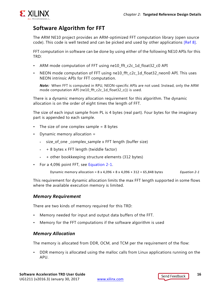

## <span id="page-15-1"></span>**Software Algorithm for FFT**

The ARM NE10 project provides an ARM-optimized FFT computation library (open source code). This code is well tested and can be picked and used by other applications [\[Ref 8\].](#page-31-1)

FFT computation in software can be done by using either of the following NE10 APIs for this TRD:

- ARM mode computation of FFT using ne10\_fft\_c2c\_1d\_float32\_c0 API
- NEON mode computation of FFT using ne10\_fft\_c2c\_1d\_float32\_neon0 API. This uses NEON intrinsic APIs for FFT computation.

*Note:* When FFT is computed in RPU, NEON-specific APIs are not used. Instead, only the ARM mode computation API (ne10\_fft\_c2c\_1d\_float32\_c()) is used.

There is a dynamic memory allocation requirement for this algorithm. The dynamic allocation is on the order of eight times the length of FFT.

The size of each input sample from PL is 4 bytes (real part). Four bytes for the imaginary part is appended to each sample.

- $\cdot$  The size of one complex sample = 8 bytes
- Dynamic memory allocation =
	- ° size\_of\_one \_complex\_sample x FFT length (buffer size)
	- $\cdot$  + 8 bytes x FFT length (twiddle factor)
	- + other bookkeeping structure elements (312 bytes)
- <span id="page-15-0"></span>• For a 4,096 point FFT, see [Equation 2-1.](#page-15-0)

Dynamic memory allocation = 8 x 4,096 + 8 x 4,096 + 312 = 65,848 bytes *Equation 2-1*

This requirement for dynamic allocation limits the max FFT length supported in some flows where the available execution memory is limited.

#### *Memory Requirement*

There are two kinds of memory required for this TRD:

- Memory needed for input and output data buffers of the FFT.
- Memory for the FFT computations if the software algorithm is used

#### *Memory Allocation*

The memory is allocated from DDR, OCM, and TCM per the requirement of the flow:

• DDR memory is allocated using the malloc calls from Linux applications running on the APU.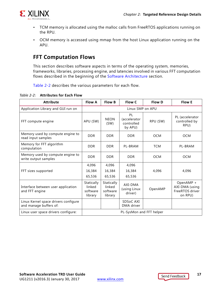

- TCM memory is allocated using the malloc calls from FreeRTOS applications running on the RPU.
- OCM memory is accessed using mmap from the host Linux application running on the APU.

### **FFT Computation Flows**

This section describes software aspects in terms of the operating system, memories, frameworks, libraries, processing engine, and latencies involved in various FFT computation flows described in the beginning of the [Software Architecture](#page-8-3) section.

<span id="page-16-0"></span>[Table 2-2](#page-16-1) describes the various parameters for each flow.

<span id="page-16-1"></span>*Table 2-2:* **Attributes for Each Flow**

| <b>Attribute</b>                                               | <b>Flow A</b>                               | <b>Flow B</b>                               | Flow C                                      | <b>Flow D</b> | <b>Flow E</b>                                             |  |
|----------------------------------------------------------------|---------------------------------------------|---------------------------------------------|---------------------------------------------|---------------|-----------------------------------------------------------|--|
| Application Library and GUI run on                             | Linux SMP on APU                            |                                             |                                             |               |                                                           |  |
| FFT compute engine                                             | APU (SW)                                    | <b>NEON</b><br>(SW)                         | PL<br>(accelerator<br>controlled<br>by APU) | RPU (SW)      | PL (accelerator<br>controlled by<br>RPU)                  |  |
| Memory used by compute engine to<br>read input samples         | <b>DDR</b>                                  | <b>DDR</b>                                  | DDR.                                        | <b>OCM</b>    | <b>OCM</b>                                                |  |
| Memory for FFT algorithm<br>computation                        | <b>DDR</b>                                  | <b>DDR</b>                                  | PL-BRAM                                     | <b>TCM</b>    | PL-BRAM                                                   |  |
| Memory used by compute engine to<br>write output samples       | <b>DDR</b>                                  | <b>DDR</b>                                  | <b>DDR</b>                                  | <b>OCM</b>    | <b>OCM</b>                                                |  |
|                                                                | 4,096                                       | 4,096                                       | 4,096                                       |               |                                                           |  |
| FFT sizes supported                                            | 16,384<br>65,536                            | 16,384<br>65,536                            | 16,384<br>65,536                            | 4,096         | 4,096                                                     |  |
|                                                                |                                             |                                             |                                             |               |                                                           |  |
| Interface between user application<br>and FFT engine           | Statically<br>linked<br>software<br>library | Statically<br>linked<br>software<br>library | AXI-DMA<br>(using Linux<br>driver)          | OpenAMP       | OpenAMP +<br>AXI-DMA (using<br>FreeRTOS driver<br>on RPU) |  |
| Linux Kernel space drivers configure<br>and manage buffers of: |                                             |                                             | SDSoC AXI<br>DMA driver                     |               |                                                           |  |
| Linux user space drivers configure:                            | PL-SysMon and FFT helper                    |                                             |                                             |               |                                                           |  |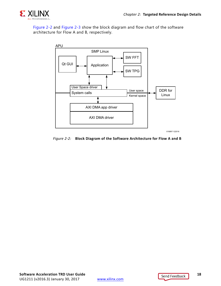

[Figure 2-2](#page-17-0) and [Figure 2-3](#page-18-1) show the block diagram and flow chart of the software architecture for Flow A and B, respectively.

<span id="page-17-0"></span>

*Figure 2-2:* **Block Diagram of the Software Architecture for Flow A and B**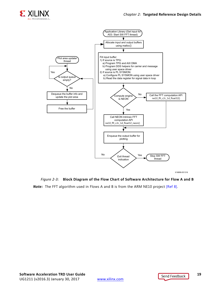

<span id="page-18-1"></span><span id="page-18-0"></span>

#### *Figure 2-3:* **Block Diagram of the Flow Chart of Software Architecture for Flow A and B**

*Note:* The FFT algorithm used in Flows A and B is from the ARM NE10 project [\[Ref 8\].](#page-31-1)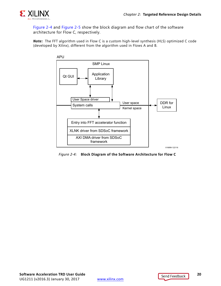

[Figure 2-4](#page-19-1) and [Figure 2-5](#page-20-1) show the block diagram and flow chart of the software architecture for Flow C, respectively.

<span id="page-19-1"></span>*Note:* The FFT algorithm used in Flow C is a custom high-level synthesis (HLS) optimized C code (developed by Xilinx), different from the algorithm used in Flows A and B.

<span id="page-19-0"></span>

*Figure 2-4:* **Block Diagram of the Software Architecture for Flow C**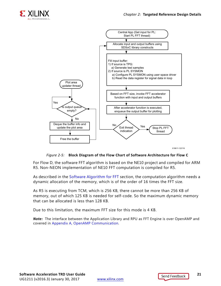

<span id="page-20-1"></span><span id="page-20-0"></span>

X18611-122116

*Figure 2-5:* **Block Diagram of the Flow Chart of Software Architecture for Flow C**

For Flow D, the software FFT algorithm is based on the NE10 project and compiled for ARM R5. Non-NEON implementation of NE10 FFT computation is compiled for R5.

As described in the [Software Algorithm for FFT](#page-15-1) section, the computation algorithm needs a dynamic allocation of the memory, which is of the order of 16 times the FFT size.

As R5 is executing from TCM, which is 256 KB, there cannot be more than 256 KB of memory, out of which 125 KB is needed for self-code. So the maximum dynamic memory that can be allocated is less than 128 KB.

Due to this limitation, the maximum FFT size for this mode is 4 KB.

*Note:* The interface between the Application Library and RPU as FFT Engine is over OpenAMP and covered in [Appendix A, OpenAMP Communication.](#page-29-2)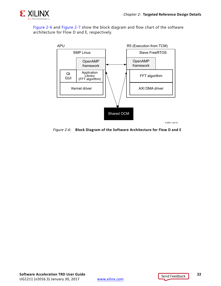

<span id="page-21-0"></span>[Figure 2-6](#page-21-0) and [Figure 2-7](#page-22-1) show the block diagram and flow chart of the software architecture for Flow D and E, respectively.



*Figure 2-6:* **Block Diagram of the Software Architecture for Flow D and E**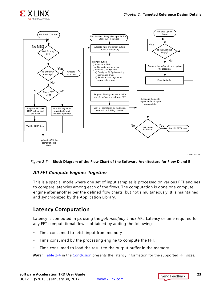

<span id="page-22-1"></span><span id="page-22-0"></span>

X16902-122016

#### *Figure 2-7:* **Block Diagram of the Flow Chart of the Software Architecture for Flow D and E**

#### *All FFT Compute Engines Together*

This is a special mode where one set of input samples is processed on various FFT engines to compare latencies among each of the flows. The computation is done one compute engine after another per the defined flow charts, but not simultaneously. It is maintained and synchronized by the Application Library.

#### **Latency Computation**

Latency is computed in μs using the *gettimeofday* Linux API. Latency or time required for any FFT computational flow is obtained by adding the following:

- Time consumed to fetch input from memory
- Time consumed by the processing engine to compute the FFT.
- Time consumed to load the result to the output buffer in the memory.

*Note:* [Table 2-4](#page-28-2) in the [Conclusion](#page-28-1) presents the latency information for the supported FFT sizes.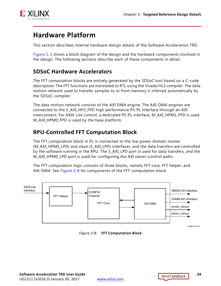

# <span id="page-23-3"></span>**Hardware Platform**

This section describes internal hardware design details of the Software Acceleration TRD.

[Figure 1-1](#page-4-0) shows a block diagram of the design and the hardware components involved in the design. The following sections describe each of these components in detail.

### <span id="page-23-1"></span>**SDSoC Hardware Accelerators**

The FFT computation blocks are entirely generated by the SDSoC tool based on a C-code description. The FFT functions are translated to RTL using the Vivado HLS compiler. The data motion network used to transfer samples to or from memory is inferred automatically by the SDSoC compiler.

The data motion network consists of the AXI DMA engine. The AXI-DMA engines are connected to the S\_AXI\_HP3\_FPD high performance PS-PL interface through an AXI interconnect. For AXI4-Lite control, a dedicated PS-PL interface, M\_AXI\_HPM1\_FPD is used. M\_AXI\_HPM0\_FPD is used by the base platform.

## <span id="page-23-2"></span>**RPU-Controlled FFT Computation Block**

The FFT computation block in PL is connected to the low power domain master (M\_AXI\_HPM0\_LPD) and slave (S\_AXI\_LPD) interfaces, and the data transfers are controlled by the software running in the RPU. The S\_AXI\_LPD port is used for data transfers, and the M\_AXI\_HPM0\_LPD port is used for configuring the AXI slaves (control path).

The FFT computation logic consists of three blocks, namely FFT core, FFT helper, and AXI-DMA. See [Figure 2-8](#page-23-4) for components of the FFT computation block.

<span id="page-23-4"></span><span id="page-23-0"></span>

*Figure 2-8:* **FFT Computation Block**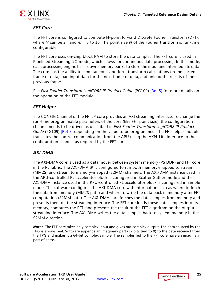

#### *FFT Core*

The FFT core is configured to compute N-point forward Discrete Fourier Transform (DFT), where *N* can be  $2^m$  and  $m = 3$  to 16. The point size *N* of the Fourier transform is run-time configurable.

The FFT core uses on-chip block RAM to store the data samples. The FFT core is used in Pipelined Streaming I/O mode, which allows for continuous data processing. In this mode, each processing engine has its own memory banks to store the input and intermediate data. The core has the ability to simultaneously perform transform calculations on the current frame of data, load input data for the next frame of data, and unload the results of the previous frame.

See *Fast Fourier Transform LogiCORE IP Product Guide* (PG109) [\[Ref 5\]](#page-30-8) for more details on the operation of the FFT module.

#### *FFT Helper*

The CONFIG Channel of the FFT IP core provides an AXI streaming interface. To change the run-time programmable parameters of the core (like FFT point size), the configuration channel needs to be driven as described in *Fast Fourier Transform LogiCORE IP Product Guide* (PG109) [\[Ref 5\]](#page-30-8) depending on the value to be programmed. The FFT helper module translates the control communication from the APU using the AXI4-Lite interface to the configuration channel as required by the FFT core.

#### *AXI-DMA*

The AXI-DMA core is used as a data mover between system memory (PS DDR) and FFT core in the PL fabric. The AXI-DMA IP is configured to run both memory-mapped to stream (MM2S) and stream to memory-mapped (S2MM) channels. The AXI-DMA instance used in the APU-controlled PL accelerator block is configured in Scatter Gather mode and the AXI-DMA instance used in the RPU-controlled PL accelerator block is configured in Simple mode. The software configures the AXI-DMA core with information such as where to fetch the data from memory (MM2S path) and where to write the data back in memory after FFT computation (S2MM path). The AXI-DMA core fetches the data samples from memory and presents them on the streaming interface. The FFT core loads these data samples into its memory, computes the FFT, and presents the result of the FFT algorithm on the output streaming interface. The AXI-DMA writes the data samples back to system memory in the S2MM direction.

*Note:* The FFT core takes only complex input and gives out complex output. The data sourced by the TPG is always real. Software appends an imaginary part (32 bits tied to 0) to the data received from the TPG and makes it a 64-bit complex sample. The samples fed to the FFT core have an imaginary part of zeros.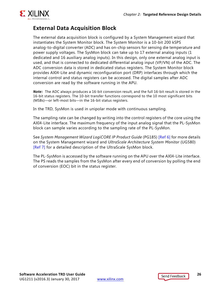

## **External Data Acquisition Block**

The external data acquisition block is configured by a System Management wizard that instantiates the System Monitor block. The System Monitor is a 10-bit 200 kSPS analog-to-digital converter (ADC) and has on-chip sensors for sensing die temperature and power supply voltages. The SysMon block can take up to 17 external analog inputs (1 dedicated and 16 auxiliary analog inputs). In this design, only one external analog input is used, and that is connected to dedicated differential analog input (VP/VN) of the ADC. The ADC conversion data is stored in dedicated status registers. The System Monitor block provides AXI4-Lite and dynamic reconfiguration port (DRP) interfaces through which the internal control and status registers can be accessed. The digital samples after ADC conversion are read by the software running in the APU.

*Note:* The ADC always produces a 16-bit conversion result, and the full 16-bit result is stored in the 16-bit status registers. The 10-bit transfer functions correspond to the 10 most significant bits (MSBs)—or left-most bits—in the 16-bit status registers.

In the TRD, SysMon is used in unipolar mode with continuous sampling.

The sampling rate can be changed by writing into the control registers of the core using the AXI4-Lite interface. The maximum frequency of the input analog signal that the PL-SysMon block can sample varies according to the sampling rate of the PL-SysMon.

See *System Management Wizard LogiCORE IP Product Guide* (PG185) [\[Ref 6\]](#page-30-9) for more details on the System Management wizard and *UltraScale Architecture System Monitor* (UG580) [\[Ref 7\]](#page-31-2) for a detailed description of the UltraScale SysMon block.

The PL-SysMon is accessed by the software running on the APU over the AXI4-Lite interface. The PS reads the samples from the SysMon after every end of conversion by polling the end of conversion (EOC) bit in the status register.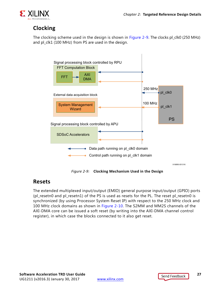

## <span id="page-26-1"></span>**Clocking**

<span id="page-26-3"></span>The clocking scheme used in the design is shown in [Figure 2-9](#page-26-3). The clocks pl\_clk0 (250 MHz) and pl\_clk1 (100 MHz) from PS are used in the design.

<span id="page-26-0"></span>

*Figure 2-9:* **Clocking Mechanism Used in the Design**

#### <span id="page-26-2"></span>**Resets**

The extended multiplexed input/output (EMIO) general purpose input/output (GPIO) ports (pl\_resetn0 and pl\_resetn1) of the PS is used as resets for the PL. The reset pl\_resetn0 is synchronized (by using Processor System Reset IP) with respect to the 250 MHz clock and 100 MHz clock domains as shown in [Figure 2-10.](#page-27-3) The S2MM and MM2S channels of the AXI-DMA core can be issued a soft reset (by writing into the AXI-DMA channel control register), in which case the blocks connected to it also get reset.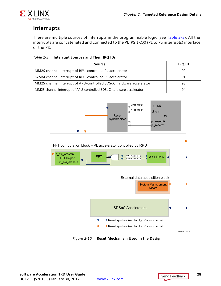

## <span id="page-27-1"></span>**Interrupts**

There are multiple sources of interrupts in the programmable logic (see [Table 2-3\)](#page-27-4). All the interrupts are concatenated and connected to the PL\_PS\_IRQ0 (PL to PS interrupts) interface of the PS.

<span id="page-27-4"></span><span id="page-27-2"></span>

| Table 2-3: Interrupt Sources and Their IRQ IDs |  |
|------------------------------------------------|--|
|                                                |  |

| Source                                                              | <b>IRQ ID</b> |
|---------------------------------------------------------------------|---------------|
| MM2S channel interrupt of RPU-controlled PL accelerator             | 90            |
| S2MM channel interrupt of RPU-controlled PL accelerator             | 91            |
| MM2S channel interrupt of APU-controlled SDSoC hardware accelerator | 93            |
| MM2S channel interrupt of APU-controlled SDSoC hardware accelerator | 94            |

<span id="page-27-3"></span><span id="page-27-0"></span>

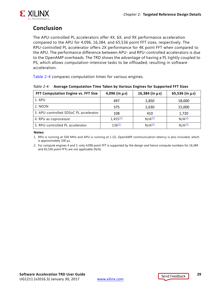

## <span id="page-28-1"></span>**Conclusion**

The APU-controlled PL accelerators offer 4X, 6X, and 9X performance acceleration compared to the APU for 4,096, 16,384, and 65,536 point FFT sizes, respectively. The RPU-controlled PL accelerator offers 2X performance for 4K point FFT when compared to the APU. The performance difference between APU- and RPU-controlled accelerators is due to the OpenAMP overheads. The TRD shows the advantage of having a PL tightly coupled to PS, which allows computation-intensive tasks to be offloaded, resulting in software acceleration.

[Table 2-4](#page-28-2) compares computation times for various engines.

<span id="page-28-2"></span><span id="page-28-0"></span>

| Table 2-4: Average Computation Time Taken by Various Engines for Supported FFT Sizes |  |  |
|--------------------------------------------------------------------------------------|--|--|
|                                                                                      |  |  |

| FFT Computation Engine vs. FFT Size    | $4,096$ (in $\mu s$ ) | $16,384$ (in $\mu s$ ) | 65,536 (in $\mu$ s) |
|----------------------------------------|-----------------------|------------------------|---------------------|
| 1. APU                                 | 497                   | 2,850                  | 18,000              |
| 2. NEON                                | 375                   | 2,630                  | 15,000              |
| 3. APU-controlled SDSoC PL accelerator | 108                   | 410                    | 1,720               |
| 4. RPU as coprocessor                  | $1,455^{(1)}$         | $N/A^{(2)}$            | N/A <sup>(2)</sup>  |
| 5. RPU-controlled PL accelerator       | 136(1)                | N/A <sup>(2)</sup>     | N/A <sup>(2)</sup>  |

#### **Notes:**

<span id="page-28-3"></span>1. RPU is running at 500 MHz and APU is running at 1.1G. OpenAMP communication latency is also included, which is approximately 100 μs.

<span id="page-28-4"></span>2. For compute engines 4 and 5, only 4,096 point FFT is supported by the design and hence compute numbers for 16,384 and 65,536 point FFTs are not applicable (N/A).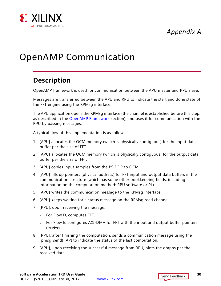*Appendix A*



# <span id="page-29-2"></span><span id="page-29-0"></span>OpenAMP Communication

# <span id="page-29-1"></span>**Description**

OpenAMP framework is used for communication between the APU master and RPU slave.

Messages are transferred between the APU and RPU to indicate the start and done state of the FFT engine using the RPMsg interface.

The APU application opens the RPMsg interface (the channel is established before this step, as described in the [OpenAMP Framework](#page-13-0) section), and uses it for communication with the RPU by passing messages.

A typical flow of this implementation is as follows:

- 1. [APU] allocates the OCM memory (which is physically contiguous) for the input data buffer per the size of FFT.
- 2. [APU] allocates the OCM memory (which is physically contiguous) for the output data buffer per the size of FFT.
- 3. [APU] copies input samples from the PS DDR to OCM.
- 4. [APU] fills up pointers (physical address) for FFT input and output data buffers in the communication structure (which has some other bookkeeping fields, including information on the computation method: RPU software or PL).
- 5. [APU] writes the communication message to the RPMsg interface.
- 6. [APU] keeps waiting for a status message on the RPMsg read channel.
- 7. [RPU], upon receiving the message:
	- ° For Flow D, computes FFT.
	- ° For Flow E, configures AXI-DMA for FFT with the input and output buffer pointers received.
- 8. [RPU], after finishing the computation, sends a communication message using the rpmsg\_send() API to indicate the status of the last computation.
- 9. [APU], upon receiving the successful message from RPU, plots the graphs per the received data.

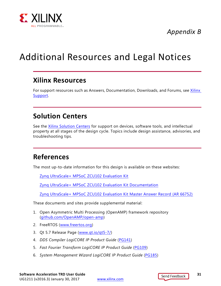

*Appendix B*

# <span id="page-30-1"></span><span id="page-30-0"></span>Additional Resources and Legal Notices

## <span id="page-30-2"></span>**Xilinx Resources**

For support resources such as Answers, Documentation, Downloads, and Forums, see [Xilinx](https://www.xilinx.com/support)  [Support](https://www.xilinx.com/support).

## <span id="page-30-3"></span>**Solution Centers**

See the [Xilinx Solution Centers](https://www.xilinx.com/support/solcenters.htm) for support on devices, software tools, and intellectual property at all stages of the design cycle. Topics include design assistance, advisories, and troubleshooting tips.

## <span id="page-30-4"></span>**References**

The most up-to-date information for this design is available on these websites:

[Zynq UltraScale+ MPSoC ZCU102 Evaluation Kit](https://www.xilinx.com/products/boards-and-kits/ek-u1-zcu102-es2-g.html)

[Zynq UltraScale+ MPSoC ZCU102 Evaluation Kit Documentation](https://www.xilinx.com/products/boards-and-kits/ek-u1-zcu102-es2-g.html#docs)

[Zynq UltraScale+ MPSoC ZCU102 Evaluation Kit Master Answer Record \(AR 66752\)](https://www.xilinx.com/support/answers/66752.html)

These documents and sites provide supplemental material:

- <span id="page-30-6"></span>1. Open Asymmetric Multi Processing (OpenAMP) framework repository ([github.com/OpenAMP/open-amp\)](https://github.com/OpenAMP/open-amp)
- <span id="page-30-5"></span>2. FreeRTOS ([www.freertos.org\)](http://www.freertos.org/a00110.html)
- <span id="page-30-7"></span>3. Qt 5.7 Release Page ([www.qt.io/qt5-7/](https://www.qt.io/qt5-7/))
- 4. *DDS Compiler LogiCORE IP Product Guide* ([PG141\)](https://www.xilinx.com/cgi-bin/docs/ipdoc?c=dds_compiler;v=latest;d=pg141-dds-compiler.pdf)
- <span id="page-30-8"></span>5. *Fast Fourier Transform LogiCORE IP Product Guide* ([PG109\)](https://www.xilinx.com/cgi-bin/docs/ipdoc?c=xfft;v=latest;d=pg109-xfft.pdf)
- <span id="page-30-9"></span>6. *System Management Wizard LogiCORE IP Product Guide* ([PG185](https://www.xilinx.com/cgi-bin/docs/ipdoc?c=system_management_wiz;v=latest;d=pg185-system-management-wiz.pdf))